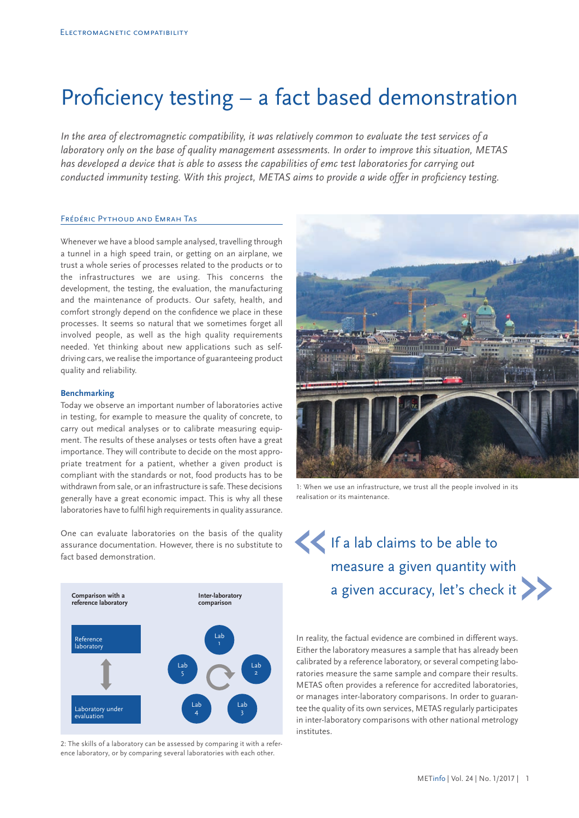# Proficiency testing – a fact based demonstration

*In the area of electromagnetic compatibility, it was relatively common to evaluate the test services of a laboratory only on the base of quality management assessments. In order to improve this situation, METAS has developed a device that is able to assess the capabilities of emc test laboratories for carrying out conducted immunity testing. With this project, METAS aims to provide a wide offer in proficiency testing.*

## Frédéric Pythoud and Emrah Tas

Whenever we have a blood sample analysed, travelling through a tunnel in a high speed train, or getting on an airplane, we trust a whole series of processes related to the products or to the infrastructures we are using. This concerns the development, the testing, the evaluation, the manufacturing and the maintenance of products. Our safety, health, and comfort strongly depend on the confidence we place in these processes. It seems so natural that we sometimes forget all involved people, as well as the high quality requirements needed. Yet thinking about new applications such as selfdriving cars, we realise the importance of guaranteeing product quality and reliability.

### **Benchmarking**

Today we observe an important number of laboratories active in testing, for example to measure the quality of concrete, to carry out medical analyses or to calibrate measuring equipment. The results of these analyses or tests often have a great importance. They will contribute to decide on the most appropriate treatment for a patient, whether a given product is compliant with the standards or not, food products has to be withdrawn from sale, or an infrastructure is safe. These decisions generally have a great economic impact. This is why all these laboratories have to fulfil high requirements in quality assurance.

One can evaluate laboratories on the basis of the quality assurance documentation. However, there is no substitute to fact based demonstration.



2: The skills of a laboratory can be assessed by comparing it with a reference laboratory, or by comparing several laboratories with each other.



1: When we use an infrastructure, we trust all the people involved in its realisation or its maintenance.

# If a lab claims to be able to measure a given quantity with a given accuracy, let's check it « **comparison**<br> **comparison**<br> **comparison**

In reality, the factual evidence are combined in different ways. Either the laboratory measures a sample that has already been calibrated by a reference laboratory, or several competing laboratories measure the same sample and compare their results. METAS often provides a reference for accredited laboratories, or manages inter-laboratory comparisons. In order to guarantee the quality of its own services, METAS regularly participates in inter-laboratory comparisons with other national metrology institutes.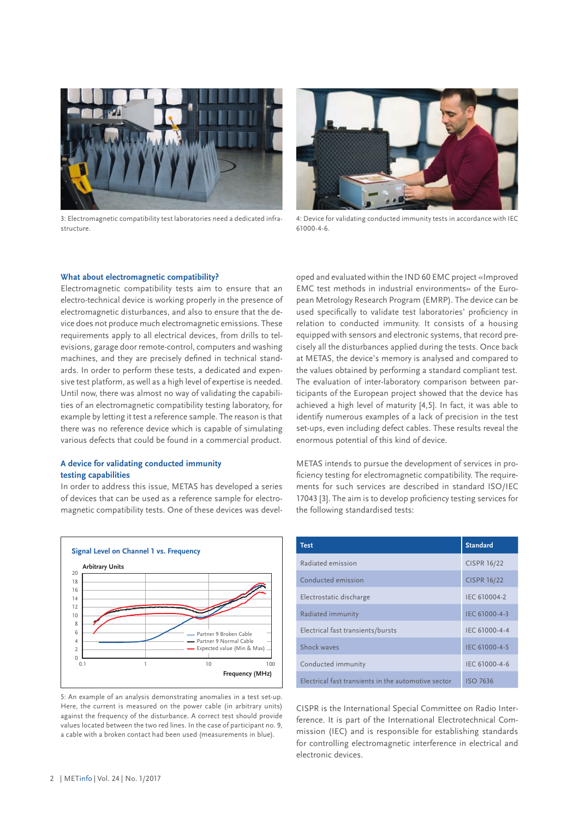

3: Electromagnetic compatibility test laboratories need a dedicated infrastructure.



4: Device for validating conducted immunity tests in accordance with IEC 61000-4-6.

#### **What about electromagnetic compatibility?**

Electromagnetic compatibility tests aim to ensure that an electro-technical device is working properly in the presence of electromagnetic disturbances, and also to ensure that the device does not produce much electromagnetic emissions. These requirements apply to all electrical devices, from drills to televisions, garage door remote-control, computers and washing machines, and they are precisely defined in technical standards. In order to perform these tests, a dedicated and expensive test platform, as well as a high level of expertise is needed. Until now, there was almost no way of validating the capabilities of an electromagnetic compatibility testing laboratory, for example by letting it test a reference sample. The reason is that there was no reference device which is capable of simulating various defects that could be found in a commercial product.

# **A device for validating conducted immunity testing capabilities**

In order to address this issue, METAS has developed a series of devices that can be used as a reference sample for electromagnetic compatibility tests. One of these devices was devel-



5: An example of an analysis demonstrating anomalies in a test set-up. Here, the current is measured on the power cable (in arbitrary units) against the frequency of the disturbance. A correct test should provide values located between the two red lines. In the case of participant no. 9, a cable with a broken contact had been used (measurements in blue).

oped and evaluated within the IND 60 EMC project «Improved EMC test methods in industrial environments» of the European Metrology Research Program (EMRP). The device can be used specifically to validate test laboratories' proficiency in relation to conducted immunity. It consists of a housing equipped with sensors and electronic systems, that record precisely all the disturbances applied during the tests. Once back at METAS, the device's memory is analysed and compared to the values obtained by performing a standard compliant test. The evaluation of inter-laboratory comparison between participants of the European project showed that the device has achieved a high level of maturity [4,5]. In fact, it was able to identify numerous examples of a lack of precision in the test set-ups, even including defect cables. These results reveal the enormous potential of this kind of device.

METAS intends to pursue the development of services in proficiency testing for electromagnetic compatibility. The requirements for such services are described in standard ISO/IEC 17043 [3]. The aim is to develop proficiency testing services for the following standardised tests:

| <b>Test</b>                                         | <b>Standard</b>    |
|-----------------------------------------------------|--------------------|
| Radiated emission                                   | <b>CISPR 16/22</b> |
| Conducted emission                                  | <b>CISPR 16/22</b> |
| Electrostatic discharge                             | IEC 610004-2       |
| Radiated immunity                                   | IEC 61000-4-3      |
| Electrical fast transients/bursts                   | IEC 61000-4-4      |
| Shock waves                                         | IEC 61000-4-5      |
| Conducted immunity                                  | IEC 61000-4-6      |
| Electrical fast transients in the automotive sector | <b>ISO 7636</b>    |

CISPR is the International Special Committee on Radio Interference. It is part of the International Electrotechnical Commission (IEC) and is responsible for establishing standards for controlling electromagnetic interference in electrical and electronic devices.